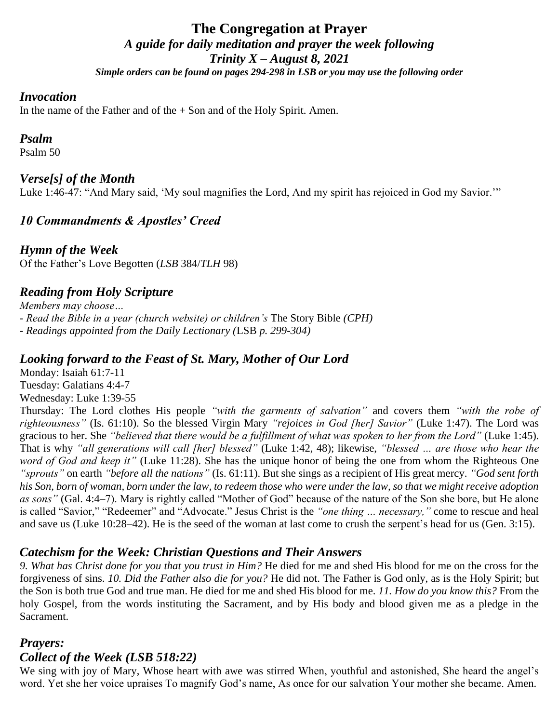## **The Congregation at Prayer** *A guide for daily meditation and prayer the week following Trinity X – August 8, 2021 Simple orders can be found on pages 294-298 in LSB or you may use the following order*

#### *Invocation*

In the name of the Father and of the  $+$  Son and of the Holy Spirit. Amen.

#### *Psalm*

Psalm 50

#### *Verse[s] of the Month*

Luke 1:46-47: "And Mary said, 'My soul magnifies the Lord, And my spirit has rejoiced in God my Savior.'"

### *10 Commandments & Apostles' Creed*

*Hymn of the Week* Of the Father's Love Begotten (*LSB* 384/*TLH* 98)

### *Reading from Holy Scripture*

*Members may choose… - Read the Bible in a year (church website) or children's* The Story Bible *(CPH) - Readings appointed from the Daily Lectionary (*LSB *p. 299-304)*

#### *Looking forward to the Feast of St. Mary, Mother of Our Lord*

Monday: Isaiah 61:7-11 Tuesday: Galatians 4:4-7 Wednesday: Luke 1:39-55

Thursday: The Lord clothes His people *"with the garments of salvation"* and covers them *"with the robe of righteousness"* (Is. 61:10). So the blessed Virgin Mary *"rejoices in God [her] Savior"* (Luke 1:47). The Lord was gracious to her. She *"believed that there would be a fulfillment of what was spoken to her from the Lord"* (Luke 1:45). That is why *"all generations will call [her] blessed"* (Luke 1:42, 48); likewise, *"blessed … are those who hear the word of God and keep it"* (Luke 11:28). She has the unique honor of being the one from whom the Righteous One *"sprouts"* on earth *"before all the nations"* (Is. 61:11). But she sings as a recipient of His great mercy. *"God sent forth his Son, born of woman, born under the law, to redeem those who were under the law, so that we might receive adoption as sons"* (Gal. 4:4–7). Mary is rightly called "Mother of God" because of the nature of the Son she bore, but He alone is called "Savior," "Redeemer" and "Advocate." Jesus Christ is the *"one thing … necessary,"* come to rescue and heal and save us (Luke 10:28–42). He is the seed of the woman at last come to crush the serpent's head for us (Gen. 3:15).

#### *Catechism for the Week: Christian Questions and Their Answers*

*9. What has Christ done for you that you trust in Him?* He died for me and shed His blood for me on the cross for the forgiveness of sins. *10. Did the Father also die for you?* He did not. The Father is God only, as is the Holy Spirit; but the Son is both true God and true man. He died for me and shed His blood for me. *11. How do you know this?* From the holy Gospel, from the words instituting the Sacrament, and by His body and blood given me as a pledge in the Sacrament.

#### *Prayers:*

#### *Collect of the Week (LSB 518:22)*

We sing with joy of Mary, Whose heart with awe was stirred When, youthful and astonished, She heard the angel's word. Yet she her voice upraises To magnify God's name, As once for our salvation Your mother she became. Amen.